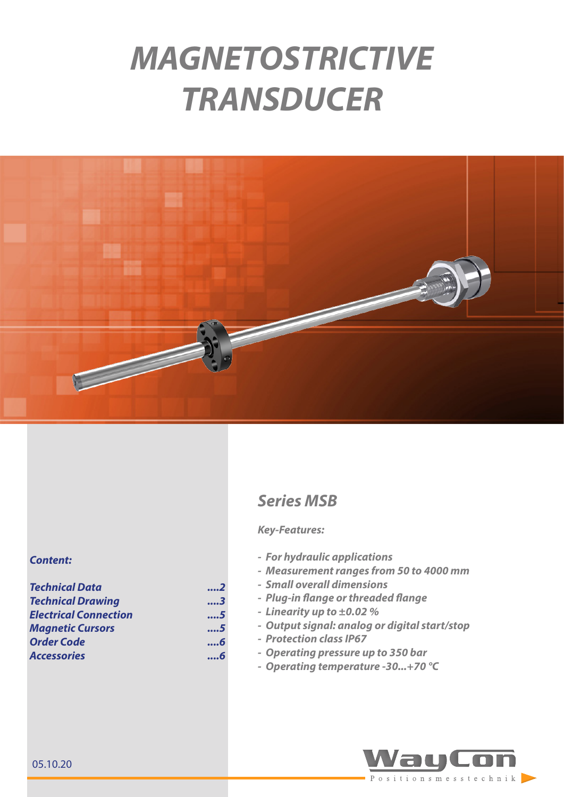# *MAGNETOSTRICTIVE TRANSDUCER*



#### *Content:*

| <b>Technical Data</b>        | 2 |  |
|------------------------------|---|--|
| <b>Technical Drawing</b>     | 3 |  |
| <b>Electrical Connection</b> | 5 |  |
| <b>Magnetic Cursors</b>      | 5 |  |
| <b>Order Code</b>            | 6 |  |
| <b>Accessories</b>           | 6 |  |

## *Series MSB*

#### *Key-Features:*

- *- For hydraulic applications*
- *- Measurement ranges from 50 to 4000 mm*
- *- Small overall dimensions*
- *- Plug-in flange or threaded flange*
- *- Linearity up to ±0.02 %*
- *- Output signal: analog or digital start/stop*
- *- Protection class IP67*
- *- Operating pressure up to 350 bar*
- *- Operating temperature -30...+70 °C*

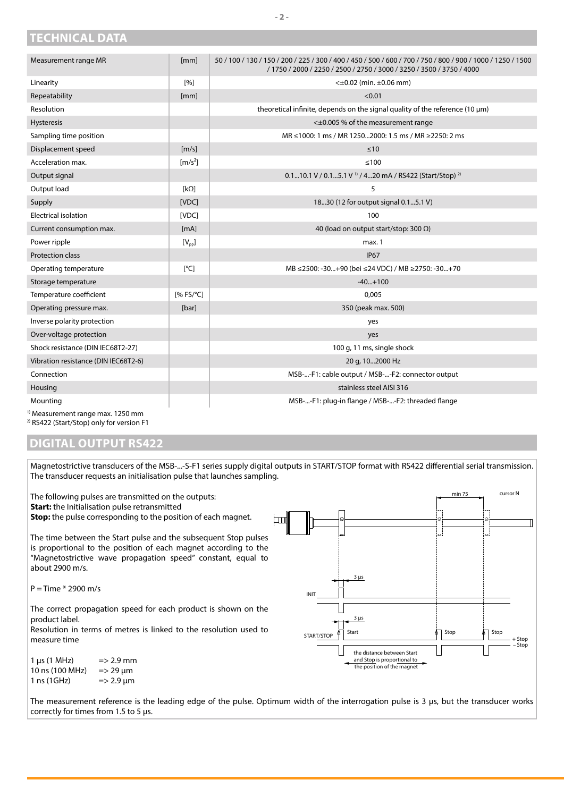| Measurement range MR                 | [mm]                         | 50 / 100 / 130 / 150 / 200 / 225 / 300 / 400 / 450 / 500 / 600 / 700 / 750 / 800 / 900 / 1000 / 1250 / 1500<br>/ 1750 / 2000 / 2250 / 2500 / 2750 / 3000 / 3250 / 3500 / 3750 / 4000 |
|--------------------------------------|------------------------------|--------------------------------------------------------------------------------------------------------------------------------------------------------------------------------------|
| Linearity                            | [%]                          | $<\pm 0.02$ (min. $\pm 0.06$ mm)                                                                                                                                                     |
| Repeatability                        | [mm]                         | < 0.01                                                                                                                                                                               |
| Resolution                           |                              | theoretical infinite, depends on the signal quality of the reference $(10 \mu m)$                                                                                                    |
| <b>Hysteresis</b>                    |                              | < $\pm$ 0.005 % of the measurement range                                                                                                                                             |
| Sampling time position               |                              | MR ≤1000: 1 ms / MR 12502000: 1.5 ms / MR ≥2250: 2 ms                                                                                                                                |
| Displacement speed                   | $\lceil m/s \rceil$          | $\leq 10$                                                                                                                                                                            |
| Acceleration max.                    | $\left[\frac{m}{s^2}\right]$ | $\leq 100$                                                                                                                                                                           |
| Output signal                        |                              | 0.110.1 V / 0.15.1 V <sup>1)</sup> / 420 mA / RS422 (Start/Stop) <sup>2)</sup>                                                                                                       |
| Output load                          | $[k\Omega]$                  | 5                                                                                                                                                                                    |
| Supply                               | [VDC]                        | 1830 (12 for output signal 0.15.1 V)                                                                                                                                                 |
| <b>Electrical isolation</b>          | [VDC]                        | 100                                                                                                                                                                                  |
| Current consumption max.             | [mA]                         | 40 (load on output start/stop: 300 $\Omega$ )                                                                                                                                        |
| Power ripple                         | $[V_{\text{pp}}]$            | max. 1                                                                                                                                                                               |
| <b>Protection class</b>              |                              | <b>IP67</b>                                                                                                                                                                          |
| Operating temperature                | [°C]                         | MB ≤2500: -30+90 (bei ≤24 VDC) / MB ≥2750: -30+70                                                                                                                                    |
| Storage temperature                  |                              | $-40+100$                                                                                                                                                                            |
| Temperature coefficient              | $[%$ FS/ $^{\circ}$ C]       | 0,005                                                                                                                                                                                |
| Operating pressure max.              | [bar]                        | 350 (peak max. 500)                                                                                                                                                                  |
| Inverse polarity protection          |                              | yes                                                                                                                                                                                  |
| Over-voltage protection              |                              | yes                                                                                                                                                                                  |
| Shock resistance (DIN IEC68T2-27)    |                              | 100 g, 11 ms, single shock                                                                                                                                                           |
| Vibration resistance (DIN IEC68T2-6) |                              | 20 g, 102000 Hz                                                                                                                                                                      |
| Connection                           |                              | MSB--F1: cable output / MSB--F2: connector output                                                                                                                                    |
| Housing                              |                              | stainless steel AISI 316                                                                                                                                                             |
| Mounting                             |                              | MSB--F1: plug-in flange / MSB--F2: threaded flange                                                                                                                                   |

1) Measurement range max. 1250 mm

<span id="page-1-0"></span>**TECHNICAL DATA**

2) RS422 (Start/Stop) only for version F1

### **DIGITAL OUTPUT RS422**

Magnetostrictive transducers of the MSB-...-S-F1 series supply digital outputs in START/STOP format with RS422 differential serial transmission. The transducer requests an initialisation pulse that launches sampling.

The following pulses are transmitted on the outputs: **Start:** the Initialisation pulse retransmitted **Stop:** the pulse corresponding to the position of each magnet.

The time between the Start pulse and the subsequent Stop pulses is proportional to the position of each magnet according to the "Magnetostrictive wave propagation speed" constant, equal to about 2900 m/s.

 $P = Time * 2900 m/s$ 

The correct propagation speed for each product is shown on the product label.

Resolution in terms of metres is linked to the resolution used to measure time

| $1 \mu s$ (1 MHz) | $\Rightarrow$ 2.9 mm      |
|-------------------|---------------------------|
| 10 ns (100 MHz)   | $\Rightarrow$ 29 $\mu$ m  |
| 1 ns (1GHz)       | $\Rightarrow$ 2.9 $\mu$ m |



The measurement reference is the leading edge of the pulse. Optimum width of the interrogation pulse is 3 μs, but the transducer works correctly for times from 1.5 to 5 μs.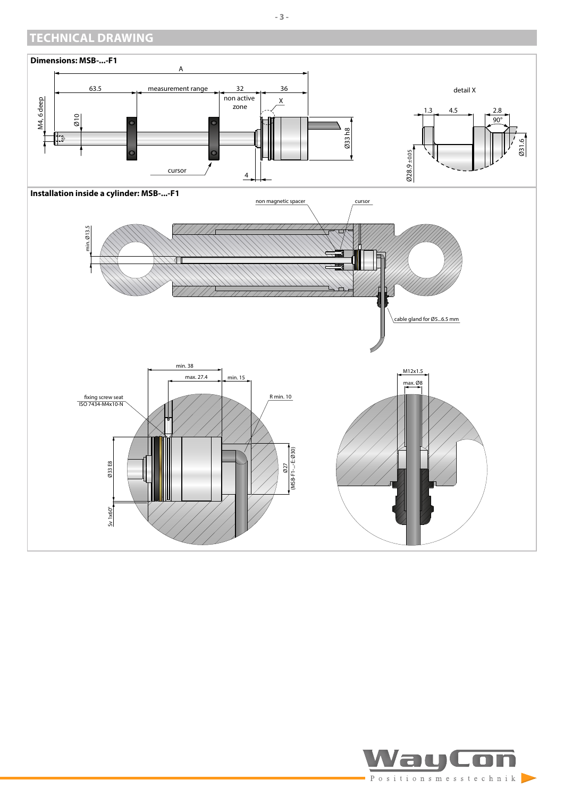## <span id="page-2-0"></span>**TECHNICAL DRAWING**



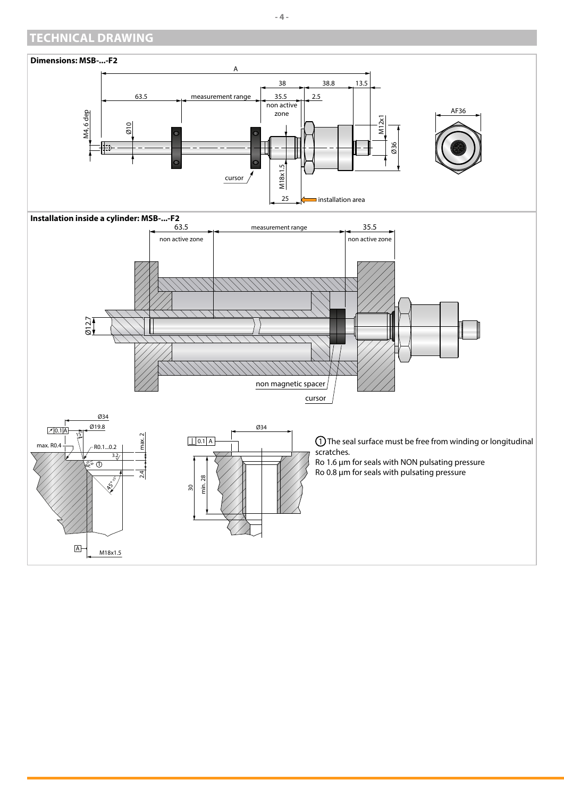## **TECHNICAL DRAWING**

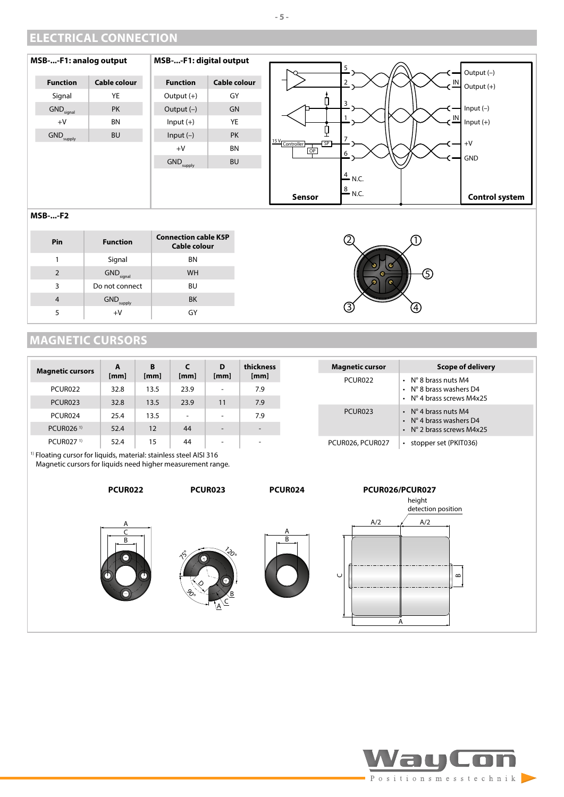## <span id="page-4-0"></span>**ELECTRICAL CONNECTION**



#### **MSB-...-F2**

| Pin | <b>Function</b>                  | <b>Connection cable K5P</b><br><b>Cable colour</b> |
|-----|----------------------------------|----------------------------------------------------|
|     | Signal                           | <b>BN</b>                                          |
|     | $\mathsf{GND}_\mathsf{signal}$   | <b>WH</b>                                          |
| 3   | Do not connect                   | BU                                                 |
| 4   | $\mathsf{GND}_{\mathsf{supply}}$ | <b>BK</b>                                          |
|     | $+V$                             | GY                                                 |

## <span id="page-4-1"></span>**MAGNETIC CURSORS**

| <b>Magnetic cursors</b>                                                                                                                      | A<br>[mm] | B<br>[mm] | [mm]                     | D<br>[mm]                | thickness<br>[mm] |  | <b>Magnetic cursor</b> | <b>Scope of delivery</b>                                                                       |
|----------------------------------------------------------------------------------------------------------------------------------------------|-----------|-----------|--------------------------|--------------------------|-------------------|--|------------------------|------------------------------------------------------------------------------------------------|
| PCUR022                                                                                                                                      | 32.8      | 13.5      | 23.9                     | $\overline{\phantom{a}}$ | 7.9               |  | PCUR022                | $\cdot$ N° 8 brass nuts M4<br>$\cdot$ N° 8 brass washers D4<br>$\cdot$ N° 4 brass screws M4x25 |
| PCUR023                                                                                                                                      | 32.8      | 13.5      | 23.9                     | 11                       | 7.9               |  |                        |                                                                                                |
|                                                                                                                                              |           |           |                          |                          |                   |  | PCUR023                | $\cdot$ N° 4 brass nuts M4<br>$\cdot$ N° 4 brass washers D4<br>$\cdot$ N° 2 brass screws M4x25 |
| PCUR024                                                                                                                                      | 25.4      | 13.5      | $\overline{\phantom{a}}$ | $\overline{\phantom{a}}$ | 7.9               |  |                        |                                                                                                |
| PCUR026 <sup>1)</sup>                                                                                                                        | 52.4      | 12        | 44                       | $\overline{\phantom{a}}$ |                   |  |                        |                                                                                                |
| PCUR027 <sup>1)</sup>                                                                                                                        | 52.4      | 15        | 44                       | $\overline{\phantom{a}}$ | -                 |  | PCUR026, PCUR027       | stopper set (PKIT036)<br>$\bullet$                                                             |
| <sup>1)</sup> Floating cursor for liquids, material: stainless steel AISI 316<br>Magnetic cursors for liquids need higher measurement range. |           |           |                          |                          |                   |  |                        |                                                                                                |

B C A **PCUR022** D  $\mathcal{E}_{\mathcal{E}}$  $\stackrel{\prime}{\sim}$  $\mathcal{S}$  $\widehat{A}^{\subseteq}$ B **PCUR023** B A **PCUR024**  $\cup$ A  $\alpha$  $A/2$   $A/2$ height detection position **PCUR026/PCUR027**